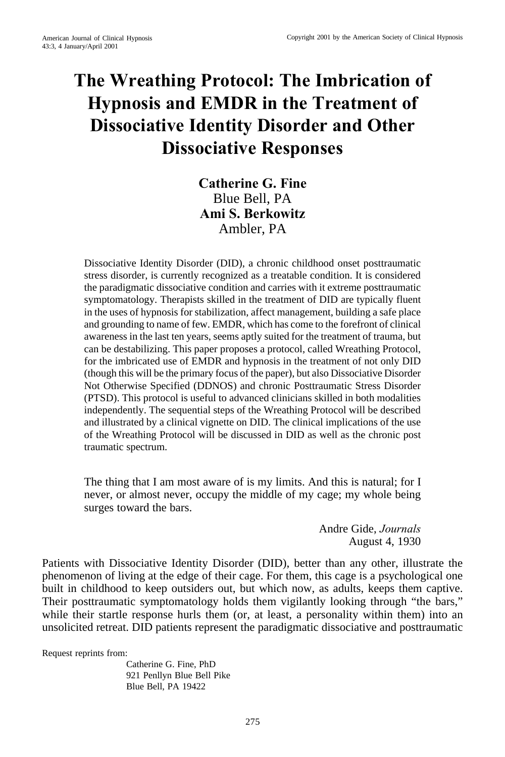# **The Wreathing Protocol: The Imbrication of Hypnosis and EMDR in the Treatment of Dissociative Identity Disorder and Other Dissociative Responses**

**Catherine G. Fine** Blue Bell, PA **Ami S. Berkowitz** Ambler, PA

Dissociative Identity Disorder (DID), a chronic childhood onset posttraumatic stress disorder, is currently recognized as a treatable condition. It is considered the paradigmatic dissociative condition and carries with it extreme posttraumatic symptomatology. Therapists skilled in the treatment of DID are typically fluent in the uses of hypnosis for stabilization, affect management, building a safe place and grounding to name of few. EMDR, which has come to the forefront of clinical awareness in the last ten years, seems aptly suited for the treatment of trauma, but can be destabilizing. This paper proposes a protocol, called Wreathing Protocol, for the imbricated use of EMDR and hypnosis in the treatment of not only DID (though this will be the primary focus of the paper), but also Dissociative Disorder Not Otherwise Specified (DDNOS) and chronic Posttraumatic Stress Disorder (PTSD). This protocol is useful to advanced clinicians skilled in both modalities independently. The sequential steps of the Wreathing Protocol will be described and illustrated by a clinical vignette on DID. The clinical implications of the use of the Wreathing Protocol will be discussed in DID as well as the chronic post traumatic spectrum.

The thing that I am most aware of is my limits. And this is natural; for I never, or almost never, occupy the middle of my cage; my whole being surges toward the bars.

> Andre Gide, *Journals* August 4, 1930

Patients with Dissociative Identity Disorder (DID), better than any other, illustrate the phenomenon of living at the edge of their cage. For them, this cage is a psychological one built in childhood to keep outsiders out, but which now, as adults, keeps them captive. Their posttraumatic symptomatology holds them vigilantly looking through "the bars," while their startle response hurls them (or, at least, a personality within them) into an unsolicited retreat. DID patients represent the paradigmatic dissociative and posttraumatic

Request reprints from:

Catherine G. Fine, PhD 921 Penllyn Blue Bell Pike Blue Bell, PA 19422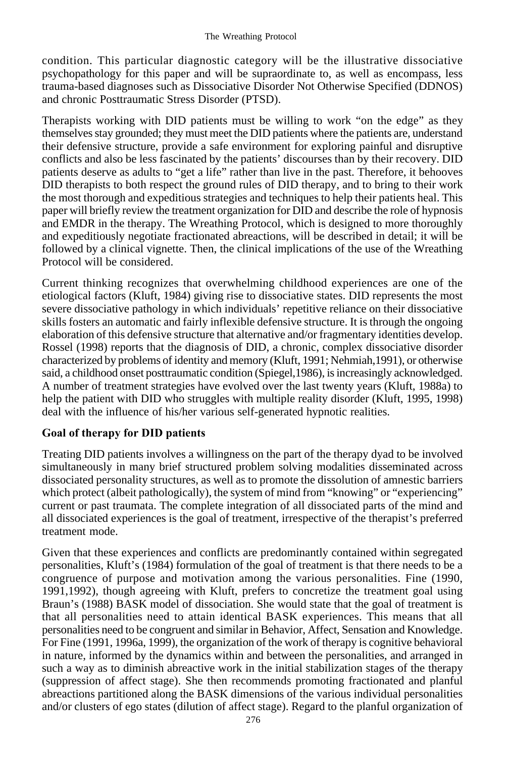condition. This particular diagnostic category will be the illustrative dissociative psychopathology for this paper and will be supraordinate to, as well as encompass, less trauma-based diagnoses such as Dissociative Disorder Not Otherwise Specified (DDNOS) and chronic Posttraumatic Stress Disorder (PTSD).

Therapists working with DID patients must be willing to work "on the edge" as they themselves stay grounded; they must meet the DID patients where the patients are, understand their defensive structure, provide a safe environment for exploring painful and disruptive conflicts and also be less fascinated by the patients' discourses than by their recovery. DID patients deserve as adults to "get a life" rather than live in the past. Therefore, it behooves DID therapists to both respect the ground rules of DID therapy, and to bring to their work the most thorough and expeditious strategies and techniques to help their patients heal. This paper will briefly review the treatment organization for DID and describe the role of hypnosis and EMDR in the therapy. The Wreathing Protocol, which is designed to more thoroughly and expeditiously negotiate fractionated abreactions, will be described in detail; it will be followed by a clinical vignette. Then, the clinical implications of the use of the Wreathing Protocol will be considered.

Current thinking recognizes that overwhelming childhood experiences are one of the etiological factors (Kluft, 1984) giving rise to dissociative states. DID represents the most severe dissociative pathology in which individuals' repetitive reliance on their dissociative skills fosters an automatic and fairly inflexible defensive structure. It is through the ongoing elaboration of this defensive structure that alternative and/or fragmentary identities develop. Rossel (1998) reports that the diagnosis of DID, a chronic, complex dissociative disorder characterized by problems of identity and memory (Kluft, 1991; Nehmiah,1991), or otherwise said, a childhood onset posttraumatic condition (Spiegel,1986), is increasingly acknowledged. A number of treatment strategies have evolved over the last twenty years (Kluft, 1988a) to help the patient with DID who struggles with multiple reality disorder (Kluft, 1995, 1998) deal with the influence of his/her various self-generated hypnotic realities.

## **Goal of therapy for DID patients**

Treating DID patients involves a willingness on the part of the therapy dyad to be involved simultaneously in many brief structured problem solving modalities disseminated across dissociated personality structures, as well as to promote the dissolution of amnestic barriers which protect (albeit pathologically), the system of mind from "knowing" or "experiencing" current or past traumata. The complete integration of all dissociated parts of the mind and all dissociated experiences is the goal of treatment, irrespective of the therapist's preferred treatment mode.

Given that these experiences and conflicts are predominantly contained within segregated personalities, Kluft's (1984) formulation of the goal of treatment is that there needs to be a congruence of purpose and motivation among the various personalities. Fine (1990, 1991,1992), though agreeing with Kluft, prefers to concretize the treatment goal using Braun's (1988) BASK model of dissociation. She would state that the goal of treatment is that all personalities need to attain identical BASK experiences. This means that all personalities need to be congruent and similar in Behavior, Affect, Sensation and Knowledge. For Fine (1991, 1996a, 1999), the organization of the work of therapy is cognitive behavioral in nature, informed by the dynamics within and between the personalities, and arranged in such a way as to diminish abreactive work in the initial stabilization stages of the therapy (suppression of affect stage). She then recommends promoting fractionated and planful abreactions partitioned along the BASK dimensions of the various individual personalities and/or clusters of ego states (dilution of affect stage). Regard to the planful organization of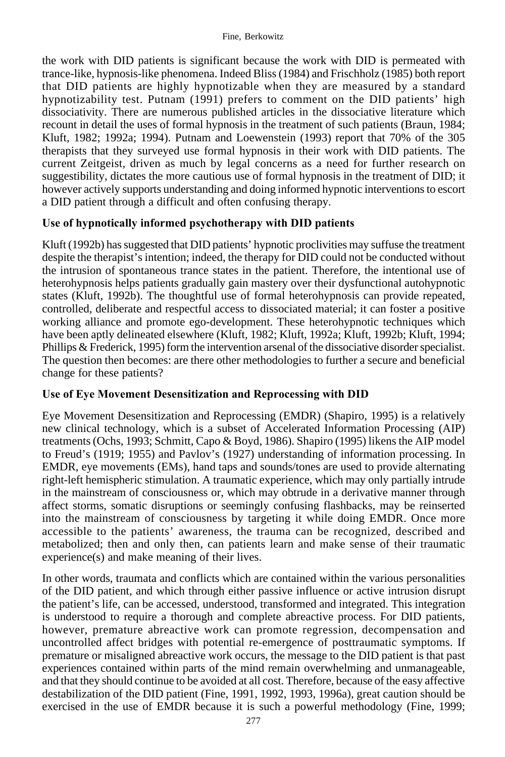the work with DID patients is significant because the work with DID is permeated with trance-like, hypnosis-like phenomena. Indeed Bliss (1984) and Frischholz (1985) both report that DID patients are highly hypnotizable when they are measured by a standard hypnotizability test. Putnam (1991) prefers to comment on the DID patients' high dissociativity. There are numerous published articles in the dissociative literature which recount in detail the uses of formal hypnosis in the treatment of such patients (Braun, 1984; Kluft, 1982; 1992a; 1994). Putnam and Loewenstein (1993) report that 70% of the 305 therapists that they surveyed use formal hypnosis in their work with DID patients. The current Zeitgeist, driven as much by legal concerns as a need for further research on suggestibility, dictates the more cautious use of formal hypnosis in the treatment of DID; it however actively supports understanding and doing informed hypnotic interventions to escort a DID patient through a difficult and often confusing therapy.

## **Use of hypnotically informed psychotherapy with DID patients**

Kluft (1992b) has suggested that DID patients' hypnotic proclivities may suffuse the treatment despite the therapist's intention; indeed, the therapy for DID could not be conducted without the intrusion of spontaneous trance states in the patient. Therefore, the intentional use of heterohypnosis helps patients gradually gain mastery over their dysfunctional autohypnotic states (Kluft, 1992b). The thoughtful use of formal heterohypnosis can provide repeated, controlled, deliberate and respectful access to dissociated material; it can foster a positive working alliance and promote ego-development. These heterohypnotic techniques which have been aptly delineated elsewhere (Kluft, 1982; Kluft, 1992a; Kluft, 1992b; Kluft, 1994; Phillips & Frederick, 1995) form the intervention arsenal of the dissociative disorder specialist. The question then becomes: are there other methodologies to further a secure and beneficial change for these patients?

## **Use of Eye Movement Desensitization and Reprocessing with DID**

Eye Movement Desensitization and Reprocessing (EMDR) (Shapiro, 1995) is a relatively new clinical technology, which is a subset of Accelerated Information Processing (AIP) treatments (Ochs, 1993; Schmitt, Capo & Boyd, 1986). Shapiro (1995) likens the AIP model to Freud's (1919; 1955) and Pavlov's (1927) understanding of information processing. In EMDR, eye movements (EMs), hand taps and sounds/tones are used to provide alternating right-left hemispheric stimulation. A traumatic experience, which may only partially intrude in the mainstream of consciousness or, which may obtrude in a derivative manner through affect storms, somatic disruptions or seemingly confusing flashbacks, may be reinserted into the mainstream of consciousness by targeting it while doing EMDR. Once more accessible to the patients' awareness, the trauma can be recognized, described and metabolized; then and only then, can patients learn and make sense of their traumatic experience(s) and make meaning of their lives.

In other words, traumata and conflicts which are contained within the various personalities of the DID patient, and which through either passive influence or active intrusion disrupt the patient's life, can be accessed, understood, transformed and integrated. This integration is understood to require a thorough and complete abreactive process. For DID patients, however, premature abreactive work can promote regression, decompensation and uncontrolled affect bridges with potential re-emergence of posttraumatic symptoms. If premature or misaligned abreactive work occurs, the message to the DID patient is that past experiences contained within parts of the mind remain overwhelming and unmanageable, and that they should continue to be avoided at all cost. Therefore, because of the easy affective destabilization of the DID patient (Fine, 1991, 1992, 1993, 1996a), great caution should be exercised in the use of EMDR because it is such a powerful methodology (Fine, 1999;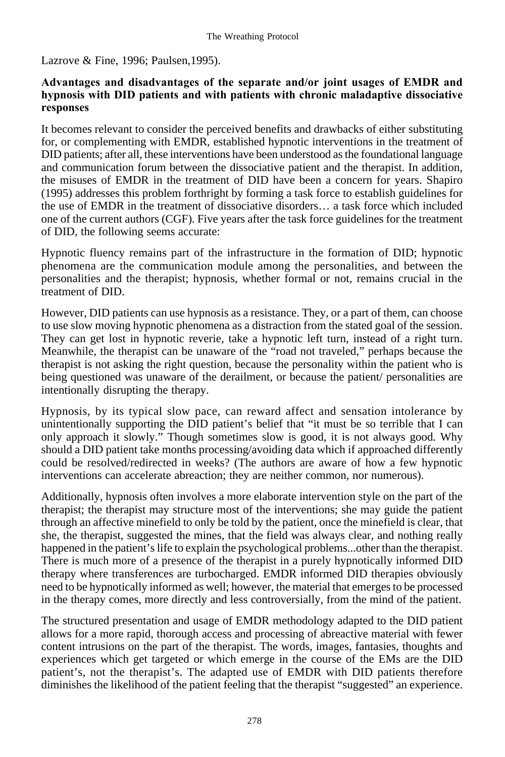Lazrove & Fine, 1996; Paulsen,1995).

#### **Advantages and disadvantages of the separate and/or joint usages of EMDR and hypnosis with DID patients and with patients with chronic maladaptive dissociative responses**

It becomes relevant to consider the perceived benefits and drawbacks of either substituting for, or complementing with EMDR, established hypnotic interventions in the treatment of DID patients; after all, these interventions have been understood as the foundational language and communication forum between the dissociative patient and the therapist. In addition, the misuses of EMDR in the treatment of DID have been a concern for years. Shapiro (1995) addresses this problem forthright by forming a task force to establish guidelines for the use of EMDR in the treatment of dissociative disorders… a task force which included one of the current authors (CGF). Five years after the task force guidelines for the treatment of DID, the following seems accurate:

Hypnotic fluency remains part of the infrastructure in the formation of DID; hypnotic phenomena are the communication module among the personalities, and between the personalities and the therapist; hypnosis, whether formal or not, remains crucial in the treatment of DID.

However, DID patients can use hypnosis as a resistance. They, or a part of them, can choose to use slow moving hypnotic phenomena as a distraction from the stated goal of the session. They can get lost in hypnotic reverie, take a hypnotic left turn, instead of a right turn. Meanwhile, the therapist can be unaware of the "road not traveled," perhaps because the therapist is not asking the right question, because the personality within the patient who is being questioned was unaware of the derailment, or because the patient/ personalities are intentionally disrupting the therapy.

Hypnosis, by its typical slow pace, can reward affect and sensation intolerance by unintentionally supporting the DID patient's belief that "it must be so terrible that I can only approach it slowly." Though sometimes slow is good, it is not always good. Why should a DID patient take months processing/avoiding data which if approached differently could be resolved/redirected in weeks? (The authors are aware of how a few hypnotic interventions can accelerate abreaction; they are neither common, nor numerous).

Additionally, hypnosis often involves a more elaborate intervention style on the part of the therapist; the therapist may structure most of the interventions; she may guide the patient through an affective minefield to only be told by the patient, once the minefield is clear, that she, the therapist, suggested the mines, that the field was always clear, and nothing really happened in the patient's life to explain the psychological problems...other than the therapist. There is much more of a presence of the therapist in a purely hypnotically informed DID therapy where transferences are turbocharged. EMDR informed DID therapies obviously need to be hypnotically informed as well; however, the material that emerges to be processed in the therapy comes, more directly and less controversially, from the mind of the patient.

The structured presentation and usage of EMDR methodology adapted to the DID patient allows for a more rapid, thorough access and processing of abreactive material with fewer content intrusions on the part of the therapist. The words, images, fantasies, thoughts and experiences which get targeted or which emerge in the course of the EMs are the DID patient's, not the therapist's. The adapted use of EMDR with DID patients therefore diminishes the likelihood of the patient feeling that the therapist "suggested" an experience.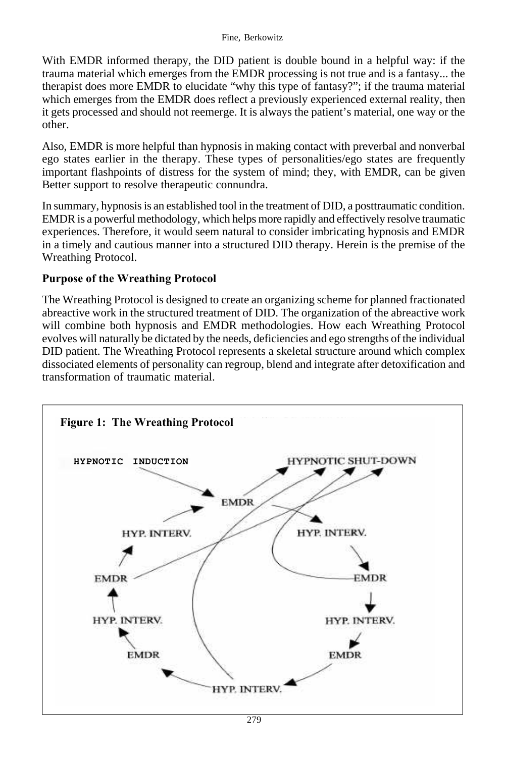With EMDR informed therapy, the DID patient is double bound in a helpful way: if the trauma material which emerges from the EMDR processing is not true and is a fantasy... the therapist does more EMDR to elucidate "why this type of fantasy?"; if the trauma material which emerges from the EMDR does reflect a previously experienced external reality, then it gets processed and should not reemerge. It is always the patient's material, one way or the other.

Also, EMDR is more helpful than hypnosis in making contact with preverbal and nonverbal ego states earlier in the therapy. These types of personalities/ego states are frequently important flashpoints of distress for the system of mind; they, with EMDR, can be given Better support to resolve therapeutic connundra.

In summary, hypnosis is an established tool in the treatment of DID, a posttraumatic condition. EMDR is a powerful methodology, which helps more rapidly and effectively resolve traumatic experiences. Therefore, it would seem natural to consider imbricating hypnosis and EMDR in a timely and cautious manner into a structured DID therapy. Herein is the premise of the Wreathing Protocol.

# **Purpose of the Wreathing Protocol**

The Wreathing Protocol is designed to create an organizing scheme for planned fractionated abreactive work in the structured treatment of DID. The organization of the abreactive work will combine both hypnosis and EMDR methodologies. How each Wreathing Protocol evolves will naturally be dictated by the needs, deficiencies and ego strengths of the individual DID patient. The Wreathing Protocol represents a skeletal structure around which complex dissociated elements of personality can regroup, blend and integrate after detoxification and transformation of traumatic material.

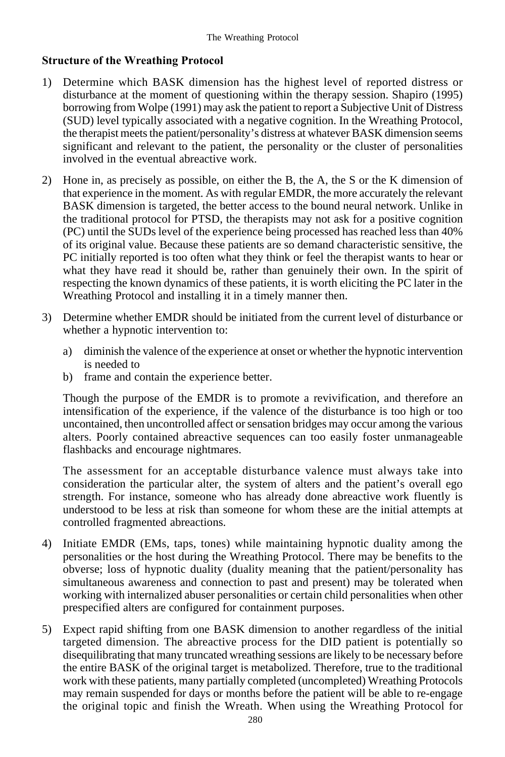## **Structure of the Wreathing Protocol**

- 1) Determine which BASK dimension has the highest level of reported distress or disturbance at the moment of questioning within the therapy session. Shapiro (1995) borrowing from Wolpe (1991) may ask the patient to report a Subjective Unit of Distress (SUD) level typically associated with a negative cognition. In the Wreathing Protocol, the therapist meets the patient/personality's distress at whatever BASK dimension seems significant and relevant to the patient, the personality or the cluster of personalities involved in the eventual abreactive work.
- 2) Hone in, as precisely as possible, on either the B, the A, the S or the K dimension of that experience in the moment. As with regular EMDR, the more accurately the relevant BASK dimension is targeted, the better access to the bound neural network. Unlike in the traditional protocol for PTSD, the therapists may not ask for a positive cognition (PC) until the SUDs level of the experience being processed has reached less than 40% of its original value. Because these patients are so demand characteristic sensitive, the PC initially reported is too often what they think or feel the therapist wants to hear or what they have read it should be, rather than genuinely their own. In the spirit of respecting the known dynamics of these patients, it is worth eliciting the PC later in the Wreathing Protocol and installing it in a timely manner then.
- 3) Determine whether EMDR should be initiated from the current level of disturbance or whether a hypnotic intervention to:
	- a) diminish the valence of the experience at onset or whether the hypnotic intervention is needed to
	- b) frame and contain the experience better.

Though the purpose of the EMDR is to promote a revivification, and therefore an intensification of the experience, if the valence of the disturbance is too high or too uncontained, then uncontrolled affect or sensation bridges may occur among the various alters. Poorly contained abreactive sequences can too easily foster unmanageable flashbacks and encourage nightmares.

The assessment for an acceptable disturbance valence must always take into consideration the particular alter, the system of alters and the patient's overall ego strength. For instance, someone who has already done abreactive work fluently is understood to be less at risk than someone for whom these are the initial attempts at controlled fragmented abreactions.

- 4) Initiate EMDR (EMs, taps, tones) while maintaining hypnotic duality among the personalities or the host during the Wreathing Protocol. There may be benefits to the obverse; loss of hypnotic duality (duality meaning that the patient/personality has simultaneous awareness and connection to past and present) may be tolerated when working with internalized abuser personalities or certain child personalities when other prespecified alters are configured for containment purposes.
- 5) Expect rapid shifting from one BASK dimension to another regardless of the initial targeted dimension. The abreactive process for the DID patient is potentially so disequilibrating that many truncated wreathing sessions are likely to be necessary before the entire BASK of the original target is metabolized. Therefore, true to the traditional work with these patients, many partially completed (uncompleted) Wreathing Protocols may remain suspended for days or months before the patient will be able to re-engage the original topic and finish the Wreath. When using the Wreathing Protocol for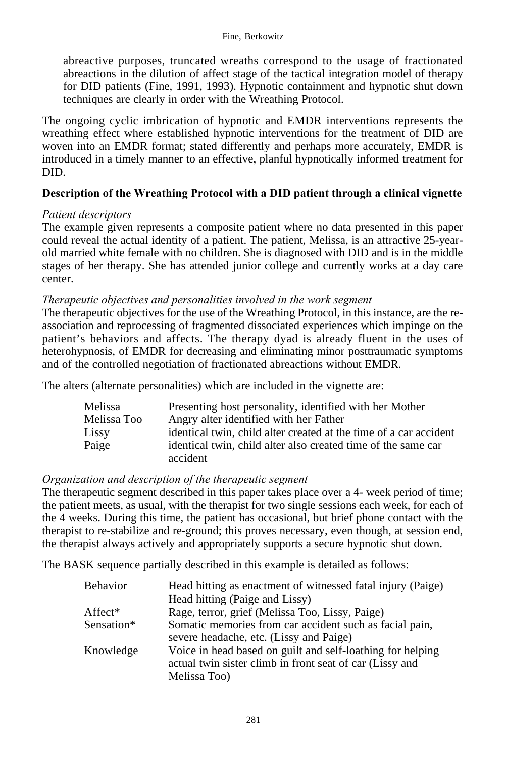abreactive purposes, truncated wreaths correspond to the usage of fractionated abreactions in the dilution of affect stage of the tactical integration model of therapy for DID patients (Fine, 1991, 1993). Hypnotic containment and hypnotic shut down techniques are clearly in order with the Wreathing Protocol.

The ongoing cyclic imbrication of hypnotic and EMDR interventions represents the wreathing effect where established hypnotic interventions for the treatment of DID are woven into an EMDR format; stated differently and perhaps more accurately, EMDR is introduced in a timely manner to an effective, planful hypnotically informed treatment for DID.

## **Description of the Wreathing Protocol with a DID patient through a clinical vignette**

## *Patient descriptors*

The example given represents a composite patient where no data presented in this paper could reveal the actual identity of a patient. The patient, Melissa, is an attractive 25-yearold married white female with no children. She is diagnosed with DID and is in the middle stages of her therapy. She has attended junior college and currently works at a day care center.

## *Therapeutic objectives and personalities involved in the work segment*

The therapeutic objectives for the use of the Wreathing Protocol, in this instance, are the reassociation and reprocessing of fragmented dissociated experiences which impinge on the patient's behaviors and affects. The therapy dyad is already fluent in the uses of heterohypnosis, of EMDR for decreasing and eliminating minor posttraumatic symptoms and of the controlled negotiation of fractionated abreactions without EMDR.

The alters (alternate personalities) which are included in the vignette are:

| Melissa     | Presenting host personality, identified with her Mother                   |
|-------------|---------------------------------------------------------------------------|
| Melissa Too | Angry alter identified with her Father                                    |
| Lissy       | identical twin, child alter created at the time of a car accident         |
| Paige       | identical twin, child alter also created time of the same car<br>accident |

#### *Organization and description of the therapeutic segment*

The therapeutic segment described in this paper takes place over a 4- week period of time; the patient meets, as usual, with the therapist for two single sessions each week, for each of the 4 weeks. During this time, the patient has occasional, but brief phone contact with the therapist to re-stabilize and re-ground; this proves necessary, even though, at session end, the therapist always actively and appropriately supports a secure hypnotic shut down.

The BASK sequence partially described in this example is detailed as follows:

| <b>Behavior</b> | Head hitting as enactment of witnessed fatal injury (Paige) |
|-----------------|-------------------------------------------------------------|
|                 | Head hitting (Paige and Lissy)                              |
| Affect*         | Rage, terror, grief (Melissa Too, Lissy, Paige)             |
| Sensation*      | Somatic memories from car accident such as facial pain,     |
|                 | severe headache, etc. (Lissy and Paige)                     |
| Knowledge       | Voice in head based on guilt and self-loathing for helping  |
|                 | actual twin sister climb in front seat of car (Lissy and    |
|                 | Melissa Too)                                                |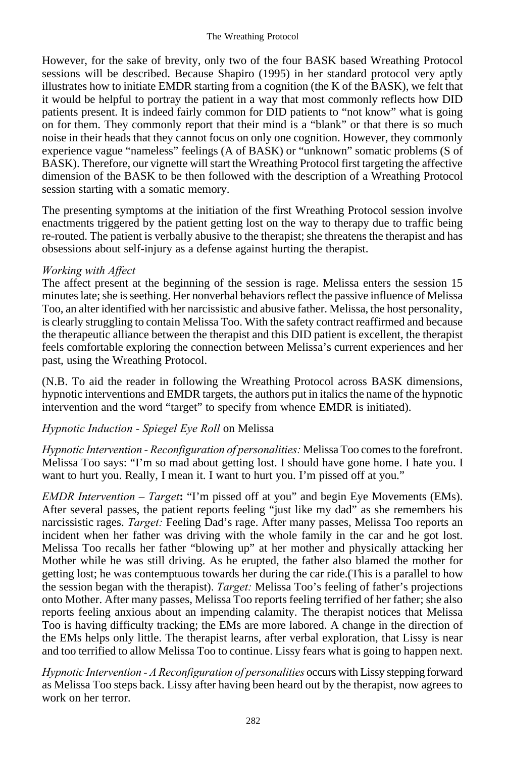However, for the sake of brevity, only two of the four BASK based Wreathing Protocol sessions will be described. Because Shapiro (1995) in her standard protocol very aptly illustrates how to initiate EMDR starting from a cognition (the K of the BASK), we felt that it would be helpful to portray the patient in a way that most commonly reflects how DID patients present. It is indeed fairly common for DID patients to "not know" what is going on for them. They commonly report that their mind is a "blank" or that there is so much noise in their heads that they cannot focus on only one cognition. However, they commonly experience vague "nameless" feelings (A of BASK) or "unknown" somatic problems (S of BASK). Therefore, our vignette will start the Wreathing Protocol first targeting the affective dimension of the BASK to be then followed with the description of a Wreathing Protocol session starting with a somatic memory.

The presenting symptoms at the initiation of the first Wreathing Protocol session involve enactments triggered by the patient getting lost on the way to therapy due to traffic being re-routed. The patient is verbally abusive to the therapist; she threatens the therapist and has obsessions about self-injury as a defense against hurting the therapist.

## *Working with Affect*

The affect present at the beginning of the session is rage. Melissa enters the session 15 minutes late; she is seething. Her nonverbal behaviors reflect the passive influence of Melissa Too, an alter identified with her narcissistic and abusive father. Melissa, the host personality, is clearly struggling to contain Melissa Too. With the safety contract reaffirmed and because the therapeutic alliance between the therapist and this DID patient is excellent, the therapist feels comfortable exploring the connection between Melissa's current experiences and her past, using the Wreathing Protocol.

(N.B. To aid the reader in following the Wreathing Protocol across BASK dimensions, hypnotic interventions and EMDR targets, the authors put in italics the name of the hypnotic intervention and the word "target" to specify from whence EMDR is initiated).

# *Hypnotic Induction - Spiegel Eye Roll* on Melissa

*Hypnotic Intervention - Reconfiguration of personalities:* Melissa Too comes to the forefront. Melissa Too says: "I'm so mad about getting lost. I should have gone home. I hate you. I want to hurt you. Really, I mean it. I want to hurt you. I'm pissed off at you."

*EMDR Intervention – Target***:** "I'm pissed off at you" and begin Eye Movements (EMs). After several passes, the patient reports feeling "just like my dad" as she remembers his narcissistic rages. *Target:* Feeling Dad's rage. After many passes, Melissa Too reports an incident when her father was driving with the whole family in the car and he got lost. Melissa Too recalls her father "blowing up" at her mother and physically attacking her Mother while he was still driving. As he erupted, the father also blamed the mother for getting lost; he was contemptuous towards her during the car ride.(This is a parallel to how the session began with the therapist). *Target:* Melissa Too's feeling of father's projections onto Mother. After many passes, Melissa Too reports feeling terrified of her father; she also reports feeling anxious about an impending calamity. The therapist notices that Melissa Too is having difficulty tracking; the EMs are more labored. A change in the direction of the EMs helps only little. The therapist learns, after verbal exploration, that Lissy is near and too terrified to allow Melissa Too to continue. Lissy fears what is going to happen next.

*Hypnotic Intervention - A Reconfiguration of personalities* occurs with Lissy stepping forward as Melissa Too steps back. Lissy after having been heard out by the therapist, now agrees to work on her terror.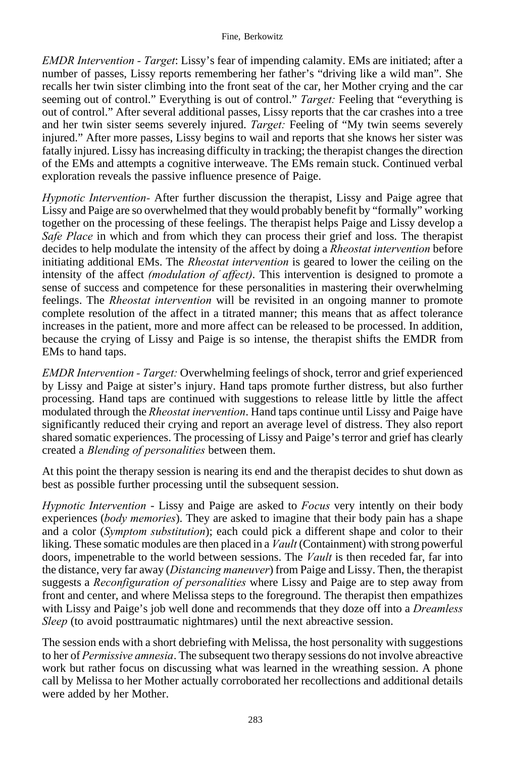*EMDR Intervention - Target*: Lissy's fear of impending calamity. EMs are initiated; after a number of passes, Lissy reports remembering her father's "driving like a wild man". She recalls her twin sister climbing into the front seat of the car, her Mother crying and the car seeming out of control." Everything is out of control." *Target:* Feeling that "everything is out of control." After several additional passes, Lissy reports that the car crashes into a tree and her twin sister seems severely injured. *Target:* Feeling of "My twin seems severely injured." After more passes, Lissy begins to wail and reports that she knows her sister was fatally injured. Lissy has increasing difficulty in tracking; the therapist changes the direction of the EMs and attempts a cognitive interweave. The EMs remain stuck. Continued verbal exploration reveals the passive influence presence of Paige.

*Hypnotic Intervention-* After further discussion the therapist, Lissy and Paige agree that Lissy and Paige are so overwhelmed that they would probably benefit by "formally" working together on the processing of these feelings. The therapist helps Paige and Lissy develop a *Safe Place* in which and from which they can process their grief and loss. The therapist decides to help modulate the intensity of the affect by doing a *Rheostat intervention* before initiating additional EMs. The *Rheostat intervention* is geared to lower the ceiling on the intensity of the affect *(modulation of affect)*. This intervention is designed to promote a sense of success and competence for these personalities in mastering their overwhelming feelings. The *Rheostat intervention* will be revisited in an ongoing manner to promote complete resolution of the affect in a titrated manner; this means that as affect tolerance increases in the patient, more and more affect can be released to be processed. In addition, because the crying of Lissy and Paige is so intense, the therapist shifts the EMDR from EMs to hand taps.

*EMDR Intervention - Target:* Overwhelming feelings of shock, terror and grief experienced by Lissy and Paige at sister's injury. Hand taps promote further distress, but also further processing. Hand taps are continued with suggestions to release little by little the affect modulated through the *Rheostat inervention*. Hand taps continue until Lissy and Paige have significantly reduced their crying and report an average level of distress. They also report shared somatic experiences. The processing of Lissy and Paige's terror and grief has clearly created a *Blending of personalities* between them.

At this point the therapy session is nearing its end and the therapist decides to shut down as best as possible further processing until the subsequent session.

*Hypnotic Intervention* - Lissy and Paige are asked to *Focus* very intently on their body experiences (*body memories*). They are asked to imagine that their body pain has a shape and a color (*Symptom substitution*); each could pick a different shape and color to their liking. These somatic modules are then placed in a *Vault* (Containment) with strong powerful doors, impenetrable to the world between sessions. The *Vault* is then receded far, far into the distance, very far away (*Distancing maneuver*) from Paige and Lissy. Then, the therapist suggests a *Reconfiguration of personalities* where Lissy and Paige are to step away from front and center, and where Melissa steps to the foreground. The therapist then empathizes with Lissy and Paige's job well done and recommends that they doze off into a *Dreamless Sleep* (to avoid posttraumatic nightmares) until the next abreactive session.

The session ends with a short debriefing with Melissa, the host personality with suggestions to her of *Permissive amnesia*. The subsequent two therapy sessions do not involve abreactive work but rather focus on discussing what was learned in the wreathing session. A phone call by Melissa to her Mother actually corroborated her recollections and additional details were added by her Mother.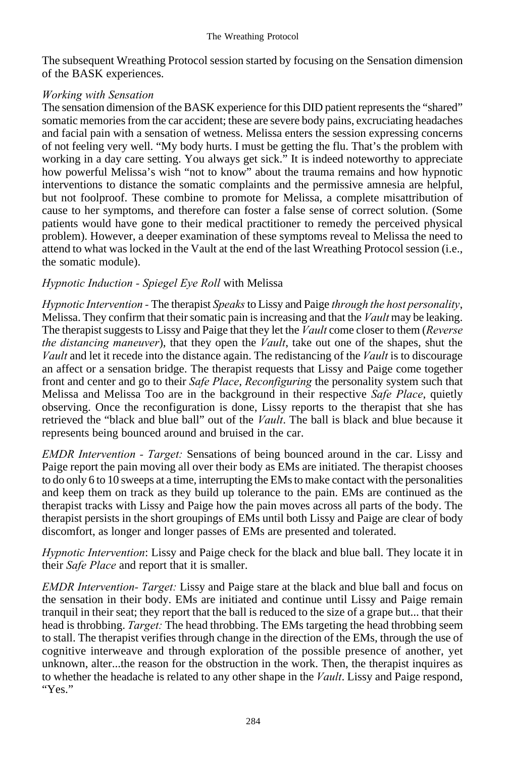The subsequent Wreathing Protocol session started by focusing on the Sensation dimension of the BASK experiences.

### *Working with Sensation*

The sensation dimension of the BASK experience for this DID patient represents the "shared" somatic memories from the car accident; these are severe body pains, excruciating headaches and facial pain with a sensation of wetness. Melissa enters the session expressing concerns of not feeling very well. "My body hurts. I must be getting the flu. That's the problem with working in a day care setting. You always get sick." It is indeed noteworthy to appreciate how powerful Melissa's wish "not to know" about the trauma remains and how hypnotic interventions to distance the somatic complaints and the permissive amnesia are helpful, but not foolproof. These combine to promote for Melissa, a complete misattribution of cause to her symptoms, and therefore can foster a false sense of correct solution. (Some patients would have gone to their medical practitioner to remedy the perceived physical problem). However, a deeper examination of these symptoms reveal to Melissa the need to attend to what was locked in the Vault at the end of the last Wreathing Protocol session (i.e., the somatic module).

## *Hypnotic Induction - Spiegel Eye Roll* with Melissa

*Hypnotic Intervention -* The therapist *Speaks* to Lissy and Paige *through the host personality*, Melissa. They confirm that their somatic pain is increasing and that the *Vault* may be leaking. The therapist suggests to Lissy and Paige that they let the *Vault* come closer to them (*Reverse the distancing maneuver*), that they open the *Vault*, take out one of the shapes, shut the *Vault* and let it recede into the distance again. The redistancing of the *Vault* is to discourage an affect or a sensation bridge. The therapist requests that Lissy and Paige come together front and center and go to their *Safe Place*, *Reconfiguring* the personality system such that Melissa and Melissa Too are in the background in their respective *Safe Place*, quietly observing. Once the reconfiguration is done, Lissy reports to the therapist that she has retrieved the "black and blue ball" out of the *Vault*. The ball is black and blue because it represents being bounced around and bruised in the car.

*EMDR Intervention - Target:* Sensations of being bounced around in the car. Lissy and Paige report the pain moving all over their body as EMs are initiated. The therapist chooses to do only 6 to 10 sweeps at a time, interrupting the EMs to make contact with the personalities and keep them on track as they build up tolerance to the pain. EMs are continued as the therapist tracks with Lissy and Paige how the pain moves across all parts of the body. The therapist persists in the short groupings of EMs until both Lissy and Paige are clear of body discomfort, as longer and longer passes of EMs are presented and tolerated.

*Hypnotic Intervention*: Lissy and Paige check for the black and blue ball. They locate it in their *Safe Place* and report that it is smaller.

*EMDR Intervention- Target:* Lissy and Paige stare at the black and blue ball and focus on the sensation in their body. EMs are initiated and continue until Lissy and Paige remain tranquil in their seat; they report that the ball is reduced to the size of a grape but... that their head is throbbing. *Target:* The head throbbing. The EMs targeting the head throbbing seem to stall. The therapist verifies through change in the direction of the EMs, through the use of cognitive interweave and through exploration of the possible presence of another, yet unknown, alter...the reason for the obstruction in the work. Then, the therapist inquires as to whether the headache is related to any other shape in the *Vault*. Lissy and Paige respond, "Yes."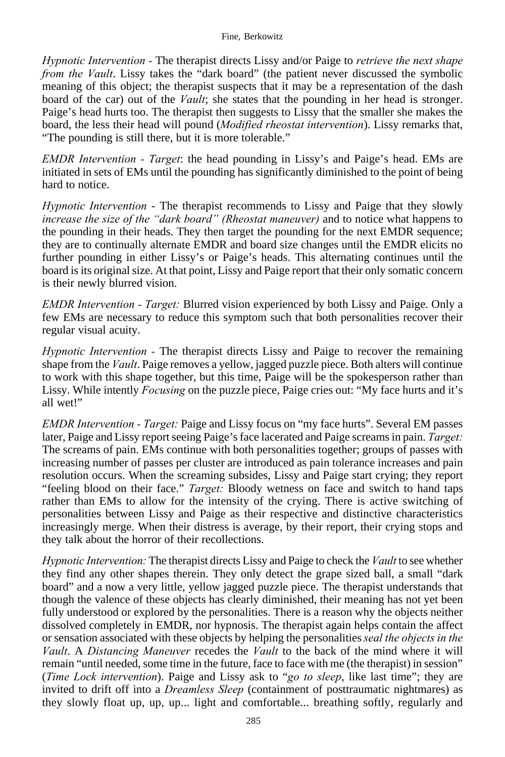*Hypnotic Intervention -* The therapist directs Lissy and/or Paige to *retrieve the next shape from the Vault*. Lissy takes the "dark board" (the patient never discussed the symbolic meaning of this object; the therapist suspects that it may be a representation of the dash board of the car) out of the *Vault*; she states that the pounding in her head is stronger. Paige's head hurts too. The therapist then suggests to Lissy that the smaller she makes the board, the less their head will pound (*Modified rheostat intervention*). Lissy remarks that, "The pounding is still there, but it is more tolerable."

*EMDR Intervention - Target*: the head pounding in Lissy's and Paige's head. EMs are initiated in sets of EMs until the pounding has significantly diminished to the point of being hard to notice.

*Hypnotic Intervention* - The therapist recommends to Lissy and Paige that they slowly *increase the size of the "dark board" (Rheostat maneuver)* and to notice what happens to the pounding in their heads. They then target the pounding for the next EMDR sequence; they are to continually alternate EMDR and board size changes until the EMDR elicits no further pounding in either Lissy's or Paige's heads. This alternating continues until the board is its original size. At that point, Lissy and Paige report that their only somatic concern is their newly blurred vision.

*EMDR Intervention - Target:* Blurred vision experienced by both Lissy and Paige. Only a few EMs are necessary to reduce this symptom such that both personalities recover their regular visual acuity.

*Hypnotic Intervention -* The therapist directs Lissy and Paige to recover the remaining shape from the *Vault*. Paige removes a yellow, jagged puzzle piece. Both alters will continue to work with this shape together, but this time, Paige will be the spokesperson rather than Lissy. While intently *Focusing* on the puzzle piece, Paige cries out: "My face hurts and it's all wet!"

*EMDR Intervention - Target:* Paige and Lissy focus on "my face hurts". Several EM passes later, Paige and Lissy report seeing Paige's face lacerated and Paige screams in pain. *Target:* The screams of pain. EMs continue with both personalities together; groups of passes with increasing number of passes per cluster are introduced as pain tolerance increases and pain resolution occurs. When the screaming subsides, Lissy and Paige start crying; they report "feeling blood on their face." *Target:* Bloody wetness on face and switch to hand taps rather than EMs to allow for the intensity of the crying. There is active switching of personalities between Lissy and Paige as their respective and distinctive characteristics increasingly merge. When their distress is average, by their report, their crying stops and they talk about the horror of their recollections.

*Hypnotic Intervention:* The therapist directs Lissy and Paige to check the *Vault* to see whether they find any other shapes therein. They only detect the grape sized ball, a small "dark board" and a now a very little, yellow jagged puzzle piece. The therapist understands that though the valence of these objects has clearly diminished, their meaning has not yet been fully understood or explored by the personalities. There is a reason why the objects neither dissolved completely in EMDR, nor hypnosis. The therapist again helps contain the affect or sensation associated with these objects by helping the personalities *seal the objects in the Vault*. A *Distancing Maneuver* recedes the *Vault* to the back of the mind where it will remain "until needed, some time in the future, face to face with me (the therapist) in session" (*Time Lock intervention*). Paige and Lissy ask to "*go to sleep*, like last time"; they are invited to drift off into a *Dreamless Sleep* (containment of posttraumatic nightmares) as they slowly float up, up, up... light and comfortable... breathing softly, regularly and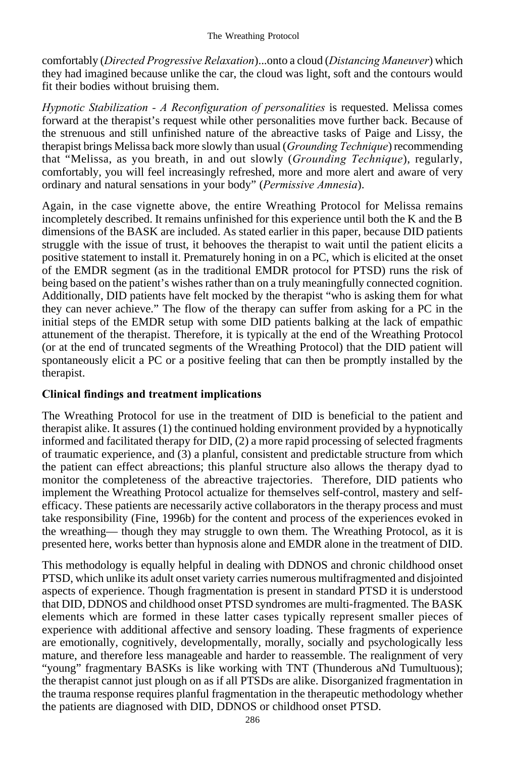comfortably (*Directed Progressive Relaxation*)...onto a cloud (*Distancing Maneuver*) which they had imagined because unlike the car, the cloud was light, soft and the contours would fit their bodies without bruising them.

*Hypnotic Stabilization - A Reconfiguration of personalities* is requested. Melissa comes forward at the therapist's request while other personalities move further back. Because of the strenuous and still unfinished nature of the abreactive tasks of Paige and Lissy, the therapist brings Melissa back more slowly than usual (*Grounding Technique*) recommending that "Melissa, as you breath, in and out slowly (*Grounding Technique*), regularly, comfortably, you will feel increasingly refreshed, more and more alert and aware of very ordinary and natural sensations in your body" (*Permissive Amnesia*).

Again, in the case vignette above, the entire Wreathing Protocol for Melissa remains incompletely described. It remains unfinished for this experience until both the K and the B dimensions of the BASK are included. As stated earlier in this paper, because DID patients struggle with the issue of trust, it behooves the therapist to wait until the patient elicits a positive statement to install it. Prematurely honing in on a PC, which is elicited at the onset of the EMDR segment (as in the traditional EMDR protocol for PTSD) runs the risk of being based on the patient's wishes rather than on a truly meaningfully connected cognition. Additionally, DID patients have felt mocked by the therapist "who is asking them for what they can never achieve." The flow of the therapy can suffer from asking for a PC in the initial steps of the EMDR setup with some DID patients balking at the lack of empathic attunement of the therapist. Therefore, it is typically at the end of the Wreathing Protocol (or at the end of truncated segments of the Wreathing Protocol) that the DID patient will spontaneously elicit a PC or a positive feeling that can then be promptly installed by the therapist.

## **Clinical findings and treatment implications**

The Wreathing Protocol for use in the treatment of DID is beneficial to the patient and therapist alike. It assures (1) the continued holding environment provided by a hypnotically informed and facilitated therapy for DID, (2) a more rapid processing of selected fragments of traumatic experience, and (3) a planful, consistent and predictable structure from which the patient can effect abreactions; this planful structure also allows the therapy dyad to monitor the completeness of the abreactive trajectories. Therefore, DID patients who implement the Wreathing Protocol actualize for themselves self-control, mastery and selfefficacy. These patients are necessarily active collaborators in the therapy process and must take responsibility (Fine, 1996b) for the content and process of the experiences evoked in the wreathing— though they may struggle to own them. The Wreathing Protocol, as it is presented here, works better than hypnosis alone and EMDR alone in the treatment of DID.

This methodology is equally helpful in dealing with DDNOS and chronic childhood onset PTSD, which unlike its adult onset variety carries numerous multifragmented and disjointed aspects of experience. Though fragmentation is present in standard PTSD it is understood that DID, DDNOS and childhood onset PTSD syndromes are multi-fragmented. The BASK elements which are formed in these latter cases typically represent smaller pieces of experience with additional affective and sensory loading. These fragments of experience are emotionally, cognitively, developmentally, morally, socially and psychologically less mature, and therefore less manageable and harder to reassemble. The realignment of very "young" fragmentary BASKs is like working with TNT (Thunderous aNd Tumultuous); the therapist cannot just plough on as if all PTSDs are alike. Disorganized fragmentation in the trauma response requires planful fragmentation in the therapeutic methodology whether the patients are diagnosed with DID, DDNOS or childhood onset PTSD.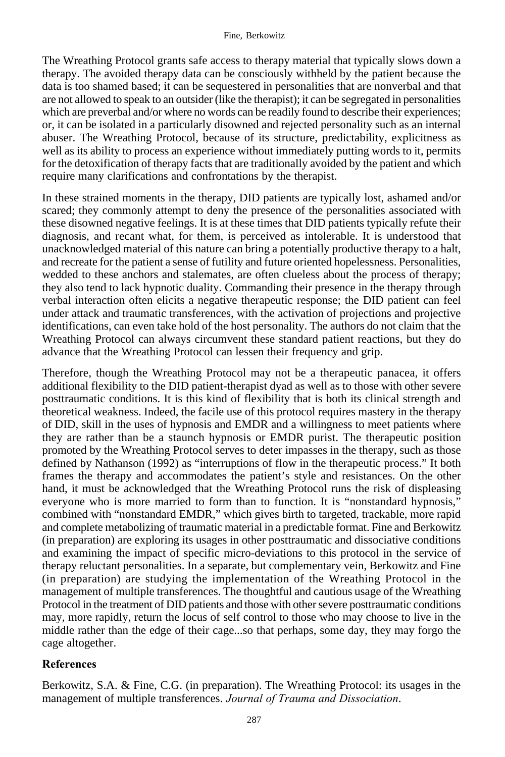The Wreathing Protocol grants safe access to therapy material that typically slows down a therapy. The avoided therapy data can be consciously withheld by the patient because the data is too shamed based; it can be sequestered in personalities that are nonverbal and that are not allowed to speak to an outsider (like the therapist); it can be segregated in personalities which are preverbal and/or where no words can be readily found to describe their experiences; or, it can be isolated in a particularly disowned and rejected personality such as an internal abuser. The Wreathing Protocol, because of its structure, predictability, explicitness as well as its ability to process an experience without immediately putting words to it, permits for the detoxification of therapy facts that are traditionally avoided by the patient and which require many clarifications and confrontations by the therapist.

In these strained moments in the therapy, DID patients are typically lost, ashamed and/or scared; they commonly attempt to deny the presence of the personalities associated with these disowned negative feelings. It is at these times that DID patients typically refute their diagnosis, and recant what, for them, is perceived as intolerable. It is understood that unacknowledged material of this nature can bring a potentially productive therapy to a halt, and recreate for the patient a sense of futility and future oriented hopelessness. Personalities, wedded to these anchors and stalemates, are often clueless about the process of therapy; they also tend to lack hypnotic duality. Commanding their presence in the therapy through verbal interaction often elicits a negative therapeutic response; the DID patient can feel under attack and traumatic transferences, with the activation of projections and projective identifications, can even take hold of the host personality. The authors do not claim that the Wreathing Protocol can always circumvent these standard patient reactions, but they do advance that the Wreathing Protocol can lessen their frequency and grip.

Therefore, though the Wreathing Protocol may not be a therapeutic panacea, it offers additional flexibility to the DID patient-therapist dyad as well as to those with other severe posttraumatic conditions. It is this kind of flexibility that is both its clinical strength and theoretical weakness. Indeed, the facile use of this protocol requires mastery in the therapy of DID, skill in the uses of hypnosis and EMDR and a willingness to meet patients where they are rather than be a staunch hypnosis or EMDR purist. The therapeutic position promoted by the Wreathing Protocol serves to deter impasses in the therapy, such as those defined by Nathanson (1992) as "interruptions of flow in the therapeutic process." It both frames the therapy and accommodates the patient's style and resistances. On the other hand, it must be acknowledged that the Wreathing Protocol runs the risk of displeasing everyone who is more married to form than to function. It is "nonstandard hypnosis," combined with "nonstandard EMDR," which gives birth to targeted, trackable, more rapid and complete metabolizing of traumatic material in a predictable format. Fine and Berkowitz (in preparation) are exploring its usages in other posttraumatic and dissociative conditions and examining the impact of specific micro-deviations to this protocol in the service of therapy reluctant personalities. In a separate, but complementary vein, Berkowitz and Fine (in preparation) are studying the implementation of the Wreathing Protocol in the management of multiple transferences. The thoughtful and cautious usage of the Wreathing Protocol in the treatment of DID patients and those with other severe posttraumatic conditions may, more rapidly, return the locus of self control to those who may choose to live in the middle rather than the edge of their cage...so that perhaps, some day, they may forgo the cage altogether.

#### **References**

Berkowitz, S.A. & Fine, C.G. (in preparation). The Wreathing Protocol: its usages in the management of multiple transferences. *Journal of Trauma and Dissociation*.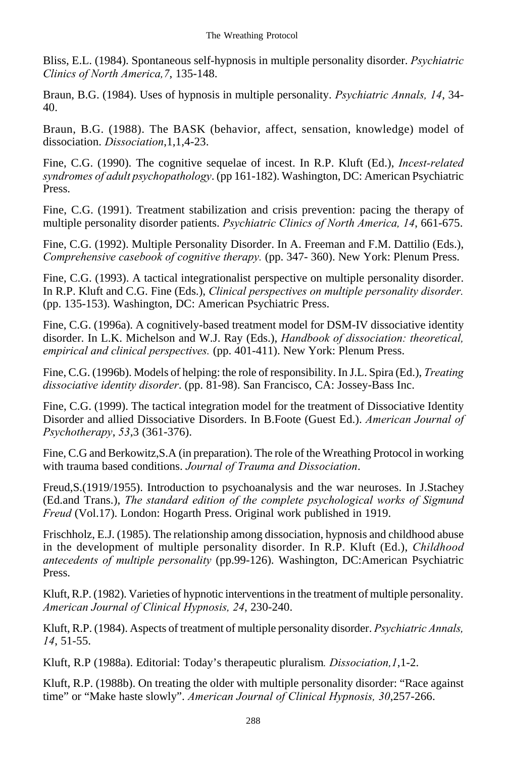Bliss, E.L. (1984). Spontaneous self-hypnosis in multiple personality disorder. *Psychiatric Clinics of North America,7*, 135-148.

Braun, B.G. (1984). Uses of hypnosis in multiple personality. *Psychiatric Annals, 14*, 34- 40.

Braun, B.G. (1988). The BASK (behavior, affect, sensation, knowledge) model of dissociation. *Dissociation*,1,1,4-23.

Fine, C.G. (1990). The cognitive sequelae of incest. In R.P. Kluft (Ed.), *Incest-related syndromes of adult psychopathology*. (pp 161-182). Washington, DC: American Psychiatric Press.

Fine, C.G. (1991). Treatment stabilization and crisis prevention: pacing the therapy of multiple personality disorder patients. *Psychiatric Clinics of North America, 14*, 661-675.

Fine, C.G. (1992). Multiple Personality Disorder. In A. Freeman and F.M. Dattilio (Eds.), *Comprehensive casebook of cognitive therapy.* (pp. 347- 360). New York: Plenum Press.

Fine, C.G. (1993). A tactical integrationalist perspective on multiple personality disorder. In R.P. Kluft and C.G. Fine (Eds.), *Clinical perspectives on multiple personality disorder.* (pp. 135-153). Washington, DC: American Psychiatric Press.

Fine, C.G. (1996a). A cognitively-based treatment model for DSM-IV dissociative identity disorder. In L.K. Michelson and W.J. Ray (Eds.), *Handbook of dissociation: theoretical, empirical and clinical perspectives.* (pp. 401-411). New York: Plenum Press.

Fine, C.G. (1996b). Models of helping: the role of responsibility. In J.L. Spira (Ed.), *Treating dissociative identity disorder*. (pp. 81-98). San Francisco, CA: Jossey-Bass Inc.

Fine, C.G. (1999). The tactical integration model for the treatment of Dissociative Identity Disorder and allied Dissociative Disorders. In B.Foote (Guest Ed.). *American Journal of Psychotherapy*, *53*,3 (361-376).

Fine, C.G and Berkowitz,S.A (in preparation). The role of the Wreathing Protocol in working with trauma based conditions. *Journal of Trauma and Dissociation*.

Freud,S.(1919/1955). Introduction to psychoanalysis and the war neuroses. In J.Stachey (Ed.and Trans.), *The standard edition of the complete psychological works of Sigmund Freud* (Vol.17). London: Hogarth Press. Original work published in 1919.

Frischholz, E.J. (1985). The relationship among dissociation, hypnosis and childhood abuse in the development of multiple personality disorder. In R.P. Kluft (Ed.), *Childhood antecedents of multiple personality* (pp.99-126). Washington, DC:American Psychiatric Press.

Kluft, R.P. (1982). Varieties of hypnotic interventions in the treatment of multiple personality. *American Journal of Clinical Hypnosis, 24*, 230-240.

Kluft, R.P. (1984). Aspects of treatment of multiple personality disorder. *Psychiatric Annals, 14*, 51-55.

Kluft, R.P (1988a). Editorial: Today's therapeutic pluralism*. Dissociation,1*,1-2.

Kluft, R.P. (1988b). On treating the older with multiple personality disorder: "Race against time" or "Make haste slowly". *American Journal of Clinical Hypnosis, 30*,257-266.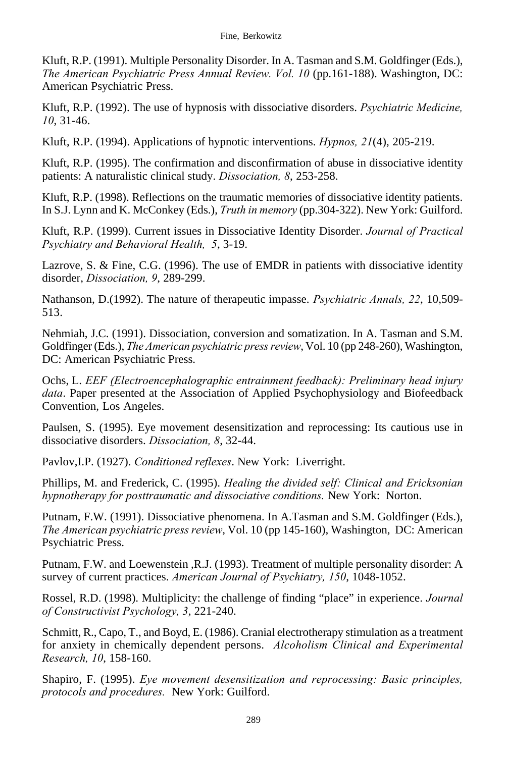Kluft, R.P. (1991). Multiple Personality Disorder. In A. Tasman and S.M. Goldfinger (Eds.), *The American Psychiatric Press Annual Review. Vol. 10* (pp.161-188). Washington, DC: American Psychiatric Press.

Kluft, R.P. (1992). The use of hypnosis with dissociative disorders. *Psychiatric Medicine, 10*, 31-46.

Kluft, R.P. (1994). Applications of hypnotic interventions. *Hypnos, 21*(4), 205-219.

Kluft, R.P. (1995). The confirmation and disconfirmation of abuse in dissociative identity patients: A naturalistic clinical study. *Dissociation, 8*, 253-258.

Kluft, R.P. (1998). Reflections on the traumatic memories of dissociative identity patients. In S.J. Lynn and K. McConkey (Eds.), *Truth in memory* (pp.304-322). New York: Guilford.

Kluft, R.P. (1999). Current issues in Dissociative Identity Disorder. *Journal of Practical Psychiatry and Behavioral Health, 5*, 3-19.

Lazrove, S. & Fine, C.G. (1996). The use of EMDR in patients with dissociative identity disorder, *Dissociation, 9*, 289-299.

Nathanson, D.(1992). The nature of therapeutic impasse. *Psychiatric Annals, 22*, 10,509- 513.

Nehmiah, J.C. (1991). Dissociation, conversion and somatization. In A. Tasman and S.M. Goldfinger (Eds.), *The American psychiatric press review*, Vol. 10 (pp 248-260), Washington, DC: American Psychiatric Press.

Ochs, L. *EEF (Electroencephalographic entrainment feedback): Preliminary head injury data*. Paper presented at the Association of Applied Psychophysiology and Biofeedback Convention, Los Angeles.

Paulsen, S. (1995). Eye movement desensitization and reprocessing: Its cautious use in dissociative disorders. *Dissociation, 8*, 32-44.

Pavlov,I.P. (1927). *Conditioned reflexes*. New York: Liverright.

Phillips, M. and Frederick, C. (1995). *Healing the divided self: Clinical and Ericksonian hypnotherapy for posttraumatic and dissociative conditions.* New York: Norton.

Putnam, F.W. (1991). Dissociative phenomena. In A.Tasman and S.M. Goldfinger (Eds.), *The American psychiatric press review*, Vol. 10 (pp 145-160), Washington, DC: American Psychiatric Press.

Putnam, F.W. and Loewenstein ,R.J. (1993). Treatment of multiple personality disorder: A survey of current practices. *American Journal of Psychiatry, 150*, 1048-1052.

Rossel, R.D. (1998). Multiplicity: the challenge of finding "place" in experience. *Journal of Constructivist Psychology, 3*, 221-240.

Schmitt, R., Capo, T., and Boyd, E. (1986). Cranial electrotherapy stimulation as a treatment for anxiety in chemically dependent persons. *Alcoholism Clinical and Experimental Research, 10*, 158-160.

Shapiro, F. (1995). *Eye movement desensitization and reprocessing: Basic principles, protocols and procedures.* New York: Guilford.